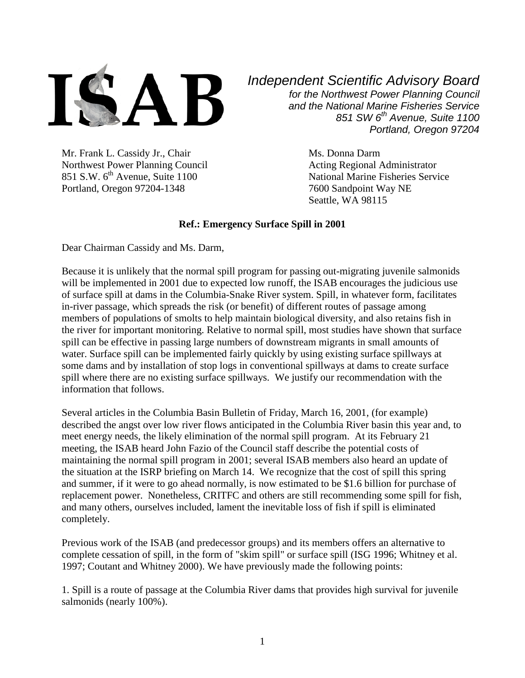

Mr. Frank L. Cassidy Jr., Chair Ms. Donna Darm Northwest Power Planning Council Acting Regional Administrator 851 S.W. 6<sup>th</sup> Avenue, Suite 1100 National Marine Fisheries Service Portland, Oregon 97204-1348 7600 Sandpoint Way NE

*Independent Scientific Advisory Board for the Northwest Power Planning Council and the National Marine Fisheries Service 851 SW 6th Avenue, Suite 1100 Portland, Oregon 97204*

Seattle, WA 98115

## **Ref.: Emergency Surface Spill in 2001**

Dear Chairman Cassidy and Ms. Darm,

Because it is unlikely that the normal spill program for passing out-migrating juvenile salmonids will be implemented in 2001 due to expected low runoff, the ISAB encourages the judicious use of surface spill at dams in the Columbia-Snake River system. Spill, in whatever form, facilitates in-river passage, which spreads the risk (or benefit) of different routes of passage among members of populations of smolts to help maintain biological diversity, and also retains fish in the river for important monitoring. Relative to normal spill, most studies have shown that surface spill can be effective in passing large numbers of downstream migrants in small amounts of water. Surface spill can be implemented fairly quickly by using existing surface spillways at some dams and by installation of stop logs in conventional spillways at dams to create surface spill where there are no existing surface spillways. We justify our recommendation with the information that follows.

Several articles in the Columbia Basin Bulletin of Friday, March 16, 2001, (for example) described the angst over low river flows anticipated in the Columbia River basin this year and, to meet energy needs, the likely elimination of the normal spill program. At its February 21 meeting, the ISAB heard John Fazio of the Council staff describe the potential costs of maintaining the normal spill program in 2001; several ISAB members also heard an update of the situation at the ISRP briefing on March 14. We recognize that the cost of spill this spring and summer, if it were to go ahead normally, is now estimated to be \$1.6 billion for purchase of replacement power. Nonetheless, CRITFC and others are still recommending some spill for fish, and many others, ourselves included, lament the inevitable loss of fish if spill is eliminated completely.

Previous work of the ISAB (and predecessor groups) and its members offers an alternative to complete cessation of spill, in the form of "skim spill" or surface spill (ISG 1996; Whitney et al. 1997; Coutant and Whitney 2000). We have previously made the following points:

1. Spill is a route of passage at the Columbia River dams that provides high survival for juvenile salmonids (nearly 100%).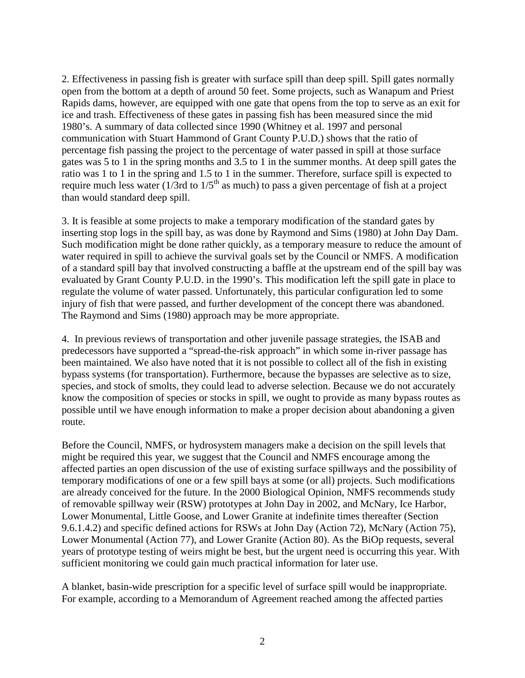2. Effectiveness in passing fish is greater with surface spill than deep spill. Spill gates normally open from the bottom at a depth of around 50 feet. Some projects, such as Wanapum and Priest Rapids dams, however, are equipped with one gate that opens from the top to serve as an exit for ice and trash. Effectiveness of these gates in passing fish has been measured since the mid 1980's. A summary of data collected since 1990 (Whitney et al. 1997 and personal communication with Stuart Hammond of Grant County P.U.D.) shows that the ratio of percentage fish passing the project to the percentage of water passed in spill at those surface gates was 5 to 1 in the spring months and 3.5 to 1 in the summer months. At deep spill gates the ratio was 1 to 1 in the spring and 1.5 to 1 in the summer. Therefore, surface spill is expected to require much less water ( $1/3$ rd to  $1/5$ <sup>th</sup> as much) to pass a given percentage of fish at a project than would standard deep spill.

3. It is feasible at some projects to make a temporary modification of the standard gates by inserting stop logs in the spill bay, as was done by Raymond and Sims (1980) at John Day Dam. Such modification might be done rather quickly, as a temporary measure to reduce the amount of water required in spill to achieve the survival goals set by the Council or NMFS. A modification of a standard spill bay that involved constructing a baffle at the upstream end of the spill bay was evaluated by Grant County P.U.D. in the 1990's. This modification left the spill gate in place to regulate the volume of water passed. Unfortunately, this particular configuration led to some injury of fish that were passed, and further development of the concept there was abandoned. The Raymond and Sims (1980) approach may be more appropriate.

4. In previous reviews of transportation and other juvenile passage strategies, the ISAB and predecessors have supported a "spread-the-risk approach" in which some in-river passage has been maintained. We also have noted that it is not possible to collect all of the fish in existing bypass systems (for transportation). Furthermore, because the bypasses are selective as to size, species, and stock of smolts, they could lead to adverse selection. Because we do not accurately know the composition of species or stocks in spill, we ought to provide as many bypass routes as possible until we have enough information to make a proper decision about abandoning a given route.

Before the Council, NMFS, or hydrosystem managers make a decision on the spill levels that might be required this year, we suggest that the Council and NMFS encourage among the affected parties an open discussion of the use of existing surface spillways and the possibility of temporary modifications of one or a few spill bays at some (or all) projects. Such modifications are already conceived for the future. In the 2000 Biological Opinion, NMFS recommends study of removable spillway weir (RSW) prototypes at John Day in 2002, and McNary, Ice Harbor, Lower Monumental, Little Goose, and Lower Granite at indefinite times thereafter (Section 9.6.1.4.2) and specific defined actions for RSWs at John Day (Action 72), McNary (Action 75), Lower Monumental (Action 77), and Lower Granite (Action 80). As the BiOp requests, several years of prototype testing of weirs might be best, but the urgent need is occurring this year. With sufficient monitoring we could gain much practical information for later use.

A blanket, basin-wide prescription for a specific level of surface spill would be inappropriate. For example, according to a Memorandum of Agreement reached among the affected parties